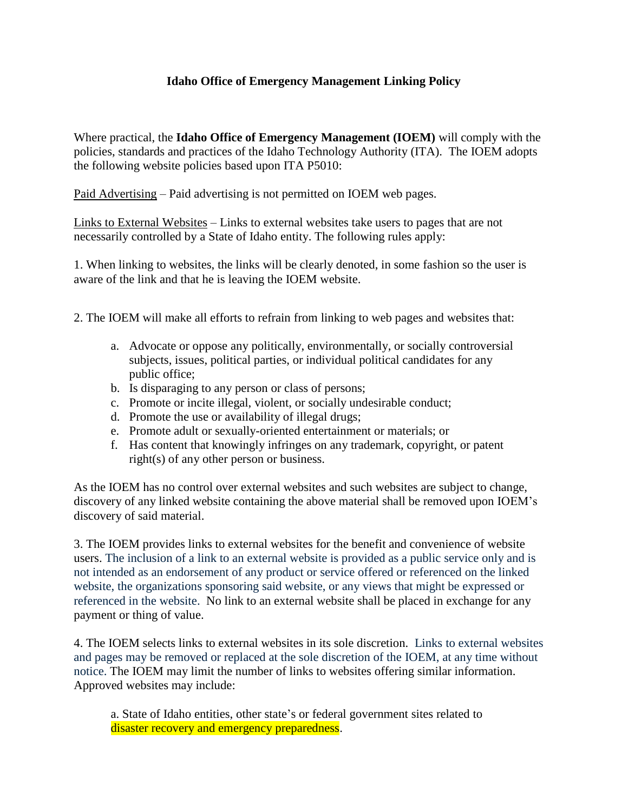## **Idaho Office of Emergency Management Linking Policy**

Where practical, the **Idaho Office of Emergency Management (IOEM)** will comply with the policies, standards and practices of the Idaho Technology Authority (ITA). The IOEM adopts the following website policies based upon ITA P5010:

Paid Advertising – Paid advertising is not permitted on IOEM web pages.

Links to External Websites – Links to external websites take users to pages that are not necessarily controlled by a State of Idaho entity. The following rules apply:

1. When linking to websites, the links will be clearly denoted, in some fashion so the user is aware of the link and that he is leaving the IOEM website.

2. The IOEM will make all efforts to refrain from linking to web pages and websites that:

- a. Advocate or oppose any politically, environmentally, or socially controversial subjects, issues, political parties, or individual political candidates for any public office;
- b. Is disparaging to any person or class of persons;
- c. Promote or incite illegal, violent, or socially undesirable conduct;
- d. Promote the use or availability of illegal drugs;
- e. Promote adult or sexually-oriented entertainment or materials; or
- f. Has content that knowingly infringes on any trademark, copyright, or patent right(s) of any other person or business.

As the IOEM has no control over external websites and such websites are subject to change, discovery of any linked website containing the above material shall be removed upon IOEM's discovery of said material.

3. The IOEM provides links to external websites for the benefit and convenience of website users. The inclusion of a link to an external website is provided as a public service only and is not intended as an endorsement of any product or service offered or referenced on the linked website, the organizations sponsoring said website, or any views that might be expressed or referenced in the website. No link to an external website shall be placed in exchange for any payment or thing of value.

4. The IOEM selects links to external websites in its sole discretion. Links to external websites and pages may be removed or replaced at the sole discretion of the IOEM, at any time without notice. The IOEM may limit the number of links to websites offering similar information. Approved websites may include:

a. State of Idaho entities, other state's or federal government sites related to disaster recovery and emergency preparedness.